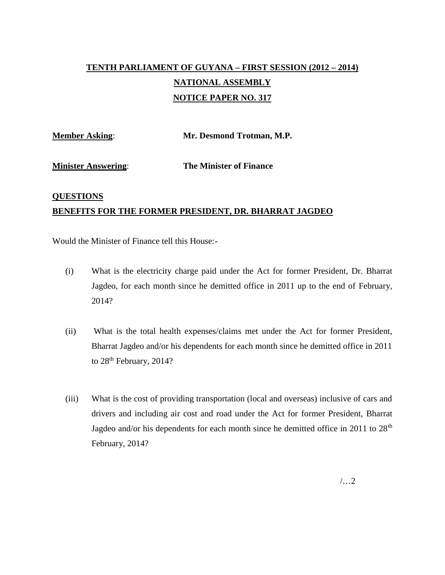## **TENTH PARLIAMENT OF GUYANA – FIRST SESSION (2012 – 2014) NATIONAL ASSEMBLY NOTICE PAPER NO. 317**

**Member Asking**: **Mr. Desmond Trotman, M.P.**

**Minister Answering**: **The Minister of Finance**

## **QUESTIONS BENEFITS FOR THE FORMER PRESIDENT, DR. BHARRAT JAGDEO**

Would the Minister of Finance tell this House:-

- (i) What is the electricity charge paid under the Act for former President, Dr. Bharrat Jagdeo, for each month since he demitted office in 2011 up to the end of February, 2014?
- (ii) What is the total health expenses/claims met under the Act for former President, Bharrat Jagdeo and/or his dependents for each month since he demitted office in 2011 to 28<sup>th</sup> February, 2014?
- (iii) What is the cost of providing transportation (local and overseas) inclusive of cars and drivers and including air cost and road under the Act for former President, Bharrat Jagdeo and/or his dependents for each month since he demitted office in 2011 to  $28<sup>th</sup>$ February, 2014?

/…2